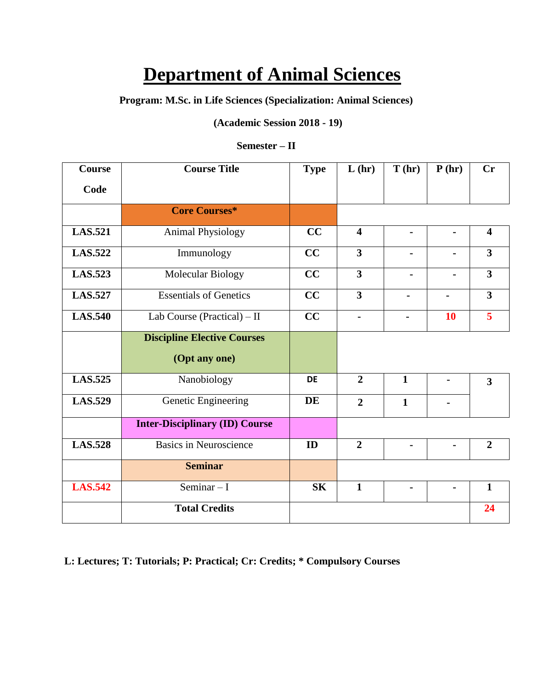# **Department of Animal Sciences**

**Program: M.Sc. in Life Sciences (Specialization: Animal Sciences)**

**(Academic Session 2018 - 19)**

## **Semester – II**

| Course         | <b>Course Title</b>                   | <b>Type</b> | L(hr)                   | T(hr)          | P(hr)          | Cr                      |
|----------------|---------------------------------------|-------------|-------------------------|----------------|----------------|-------------------------|
| Code           |                                       |             |                         |                |                |                         |
|                | <b>Core Courses*</b>                  |             |                         |                |                |                         |
| <b>LAS.521</b> | <b>Animal Physiology</b>              | CC          | $\overline{\mathbf{4}}$ | $\blacksquare$ |                | $\overline{\mathbf{4}}$ |
| <b>LAS.522</b> | Immunology                            | CC          | 3                       |                |                | $\overline{\mathbf{3}}$ |
| <b>LAS.523</b> | Molecular Biology                     | CC          | $\overline{\mathbf{3}}$ |                |                | $\overline{\mathbf{3}}$ |
| <b>LAS.527</b> | <b>Essentials of Genetics</b>         | CC          | $\overline{\mathbf{3}}$ |                | $\blacksquare$ | $\overline{\mathbf{3}}$ |
| <b>LAS.540</b> | Lab Course (Practical) $-$ II         | CC          | $\blacksquare$          | $\blacksquare$ | <b>10</b>      | 5                       |
|                | <b>Discipline Elective Courses</b>    |             |                         |                |                |                         |
|                | (Opt any one)                         |             |                         |                |                |                         |
| <b>LAS.525</b> | Nanobiology                           | <b>DE</b>   | $\overline{2}$          | $\mathbf{1}$   |                | $\overline{\mathbf{3}}$ |
| <b>LAS.529</b> | Genetic Engineering                   | DE          | $\overline{2}$          | $\mathbf{1}$   |                |                         |
|                | <b>Inter-Disciplinary (ID) Course</b> |             |                         |                |                |                         |
| <b>LAS.528</b> | <b>Basics in Neuroscience</b>         | ID          | $\overline{2}$          |                |                | $\overline{2}$          |
|                | <b>Seminar</b>                        |             |                         |                |                |                         |
| <b>LAS.542</b> | Seminar $-I$                          | <b>SK</b>   | $\mathbf{1}$            |                |                | $\mathbf{1}$            |
|                | <b>Total Credits</b>                  |             |                         |                |                | 24                      |

 **L: Lectures; T: Tutorials; P: Practical; Cr: Credits; \* Compulsory Courses**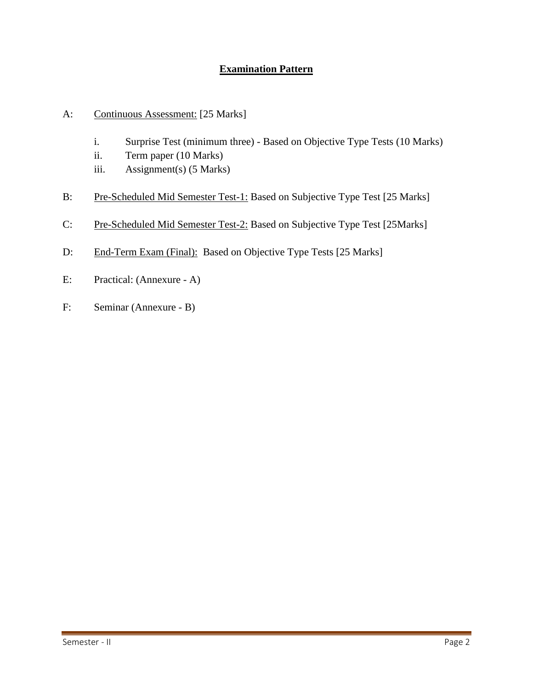## **Examination Pattern**

- A: Continuous Assessment: [25 Marks]
	- i. Surprise Test (minimum three) Based on Objective Type Tests (10 Marks)
	- ii. Term paper (10 Marks)
	- iii. Assignment(s) (5 Marks)
- B: Pre-Scheduled Mid Semester Test-1: Based on Subjective Type Test [25 Marks]
- C: Pre-Scheduled Mid Semester Test-2: Based on Subjective Type Test [25Marks]
- D: End-Term Exam (Final): Based on Objective Type Tests [25 Marks]
- E: Practical: (Annexure A)
- F: Seminar (Annexure B)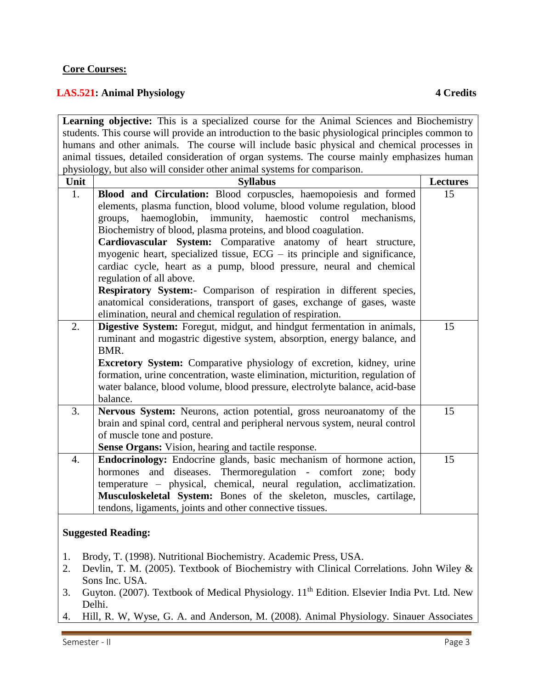## **Core Courses:**

## **LAS.521: Animal Physiology 4 Credits**

**Learning objective:** This is a specialized course for the Animal Sciences and Biochemistry students. This course will provide an introduction to the basic physiological principles common to humans and other animals. The course will include basic physical and chemical processes in animal tissues, detailed consideration of organ systems. The course mainly emphasizes human physiology, but also will consider other animal systems for comparison.

| $\mu$<br>Unit    | out also will consider other annihar systems for comparison.<br><b>Syllabus</b> | <b>Lectures</b> |
|------------------|---------------------------------------------------------------------------------|-----------------|
| 1.               | Blood and Circulation: Blood corpuscles, haemopoiesis and formed                | 15              |
|                  | elements, plasma function, blood volume, blood volume regulation, blood         |                 |
|                  | haemoglobin, immunity, haemostic control mechanisms,<br>groups,                 |                 |
|                  | Biochemistry of blood, plasma proteins, and blood coagulation.                  |                 |
|                  | Cardiovascular System: Comparative anatomy of heart structure,                  |                 |
|                  | myogenic heart, specialized tissue, $ECG -$ its principle and significance,     |                 |
|                  | cardiac cycle, heart as a pump, blood pressure, neural and chemical             |                 |
|                  | regulation of all above.                                                        |                 |
|                  | Respiratory System:- Comparison of respiration in different species,            |                 |
|                  | anatomical considerations, transport of gases, exchange of gases, waste         |                 |
|                  | elimination, neural and chemical regulation of respiration.                     |                 |
| 2.               | Digestive System: Foregut, midgut, and hindgut fermentation in animals,         | 15              |
|                  | ruminant and mogastric digestive system, absorption, energy balance, and        |                 |
|                  | BMR.                                                                            |                 |
|                  | Excretory System: Comparative physiology of excretion, kidney, urine            |                 |
|                  | formation, urine concentration, waste elimination, micturition, regulation of   |                 |
|                  | water balance, blood volume, blood pressure, electrolyte balance, acid-base     |                 |
|                  | balance.                                                                        |                 |
| 3.               | Nervous System: Neurons, action potential, gross neuroanatomy of the            | 15              |
|                  | brain and spinal cord, central and peripheral nervous system, neural control    |                 |
|                  | of muscle tone and posture.                                                     |                 |
|                  | Sense Organs: Vision, hearing and tactile response.                             |                 |
| $\overline{4}$ . | Endocrinology: Endocrine glands, basic mechanism of hormone action,             | 15              |
|                  | hormones and diseases. Thermoregulation - comfort zone; body                    |                 |
|                  | temperature – physical, chemical, neural regulation, acclimatization.           |                 |
|                  | Musculoskeletal System: Bones of the skeleton, muscles, cartilage,              |                 |
|                  | tendons, ligaments, joints and other connective tissues.                        |                 |
|                  |                                                                                 |                 |

- 1. Brody, T. (1998). Nutritional Biochemistry. Academic Press, USA.
- 2. Devlin, T. M. (2005). Textbook of Biochemistry with Clinical Correlations. John Wiley & Sons Inc. USA.
- 3. Guyton. (2007). Textbook of Medical Physiology. 11<sup>th</sup> Edition. Elsevier India Pvt. Ltd. New Delhi.
- 4. Hill, R. W, Wyse, G. A. and Anderson, M. (2008). Animal Physiology. Sinauer Associates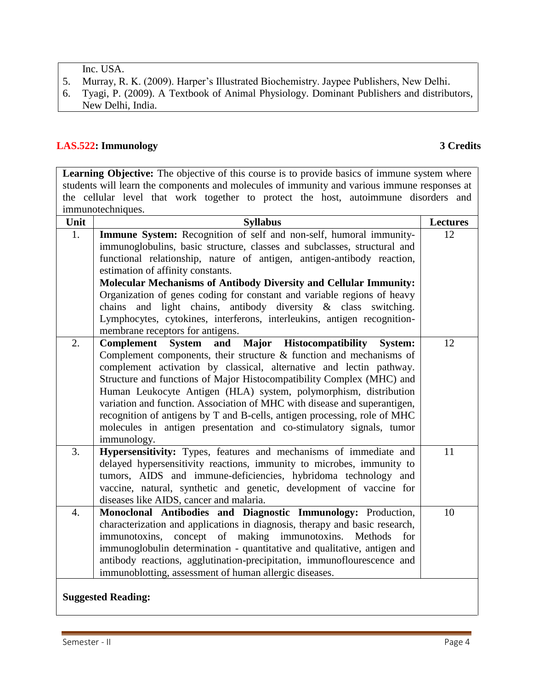Inc. USA.

- 5. Murray, R. K. (2009). Harper's Illustrated Biochemistry. Jaypee Publishers, New Delhi.
- 6. Tyagi, P. (2009). A Textbook of Animal Physiology. Dominant Publishers and distributors, New Delhi, India.

## **LAS.522: Immunology 3 Credits**

Learning Objective: The objective of this course is to provide basics of immune system where students will learn the components and molecules of immunity and various immune responses at the cellular level that work together to protect the host, autoimmune disorders and immunotechniques.

| Unit | <b>Syllabus</b>                                                                                                                                                                                                                                                                                                                                                                                                                                                                                                                                                                                                                       | <b>Lectures</b> |
|------|---------------------------------------------------------------------------------------------------------------------------------------------------------------------------------------------------------------------------------------------------------------------------------------------------------------------------------------------------------------------------------------------------------------------------------------------------------------------------------------------------------------------------------------------------------------------------------------------------------------------------------------|-----------------|
| 1.   | Immune System: Recognition of self and non-self, humoral immunity-<br>immunoglobulins, basic structure, classes and subclasses, structural and<br>functional relationship, nature of antigen, antigen-antibody reaction,<br>estimation of affinity constants.<br><b>Molecular Mechanisms of Antibody Diversity and Cellular Immunity:</b><br>Organization of genes coding for constant and variable regions of heavy<br>chains and light chains, antibody diversity & class switching.<br>Lymphocytes, cytokines, interferons, interleukins, antigen recognition-<br>membrane receptors for antigens.                                 | 12              |
| 2.   | Major Histocompatibility<br><b>Complement</b><br><b>System</b><br>and<br><b>System:</b><br>Complement components, their structure $\&$ function and mechanisms of<br>complement activation by classical, alternative and lectin pathway.<br>Structure and functions of Major Histocompatibility Complex (MHC) and<br>Human Leukocyte Antigen (HLA) system, polymorphism, distribution<br>variation and function. Association of MHC with disease and superantigen,<br>recognition of antigens by T and B-cells, antigen processing, role of MHC<br>molecules in antigen presentation and co-stimulatory signals, tumor<br>immunology. | 12              |
| 3.   | Hypersensitivity: Types, features and mechanisms of immediate and<br>delayed hypersensitivity reactions, immunity to microbes, immunity to<br>tumors, AIDS and immune-deficiencies, hybridoma technology and<br>vaccine, natural, synthetic and genetic, development of vaccine for<br>diseases like AIDS, cancer and malaria.                                                                                                                                                                                                                                                                                                        | 11              |
| 4.   | Monoclonal Antibodies and Diagnostic Immunology: Production,<br>characterization and applications in diagnosis, therapy and basic research,<br>concept of making immunotoxins.<br>immunotoxins,<br>Methods for<br>immunoglobulin determination - quantitative and qualitative, antigen and<br>antibody reactions, agglutination-precipitation, immunoflourescence and<br>immunoblotting, assessment of human allergic diseases.                                                                                                                                                                                                       | 10              |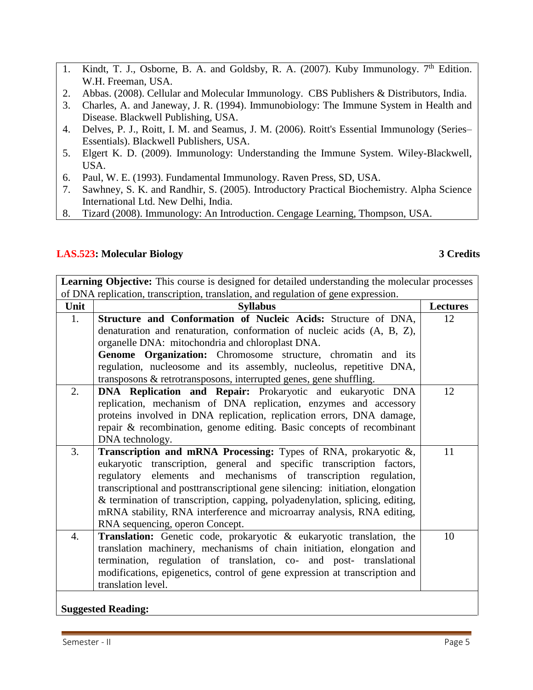- 1. Kindt, T. J., Osborne, B. A. and Goldsby, R. A. (2007). Kuby Immunology. 7<sup>th</sup> Edition. W.H. Freeman, USA.
- 2. Abbas. (2008). Cellular and Molecular Immunology. CBS Publishers & Distributors, India.
- 3. Charles, A. and Janeway, J. R. (1994). Immunobiology: The Immune System in Health and Disease. Blackwell Publishing, USA.
- 4. Delves, P. J., Roitt, I. M. and Seamus, J. M. (2006). Roitt's Essential Immunology (Series– Essentials). Blackwell Publishers, USA.
- 5. Elgert K. D. (2009). Immunology: Understanding the Immune System. Wiley-Blackwell, USA.
- 6. Paul, W. E. (1993). Fundamental Immunology. Raven Press, SD, USA.
- 7. Sawhney, S. K. and Randhir, S. (2005). Introductory Practical Biochemistry. Alpha Science International Ltd. New Delhi, India.
- 8. Tizard (2008). Immunology: An Introduction. Cengage Learning, Thompson, USA.

## **LAS.523: Molecular Biology 3 Credits**

Learning Objective: This course is designed for detailed understanding the molecular processes of DNA replication, transcription, translation, and regulation of gene expression.

| Unit   | <b>Syllabus</b>                                                                | <b>Lectures</b> |
|--------|--------------------------------------------------------------------------------|-----------------|
| 1.     | Structure and Conformation of Nucleic Acids: Structure of DNA,                 | 12              |
|        | denaturation and renaturation, conformation of nucleic acids (A, B, Z),        |                 |
|        | organelle DNA: mitochondria and chloroplast DNA.                               |                 |
|        | Genome Organization: Chromosome structure, chromatin and its                   |                 |
|        | regulation, nucleosome and its assembly, nucleolus, repetitive DNA,            |                 |
|        | transposons & retrotransposons, interrupted genes, gene shuffling.             |                 |
| 2.     | DNA Replication and Repair: Prokaryotic and eukaryotic DNA                     | 12              |
|        | replication, mechanism of DNA replication, enzymes and accessory               |                 |
|        | proteins involved in DNA replication, replication errors, DNA damage,          |                 |
|        | repair & recombination, genome editing. Basic concepts of recombinant          |                 |
|        | DNA technology.                                                                |                 |
| 3.     | <b>Transcription and mRNA Processing:</b> Types of RNA, prokaryotic $\&$ ,     | 11              |
|        | eukaryotic transcription, general and specific transcription factors,          |                 |
|        | regulatory elements and mechanisms of transcription regulation,                |                 |
|        | transcriptional and posttranscriptional gene silencing: initiation, elongation |                 |
|        | & termination of transcription, capping, polyadenylation, splicing, editing,   |                 |
|        | mRNA stability, RNA interference and microarray analysis, RNA editing,         |                 |
|        | RNA sequencing, operon Concept.                                                |                 |
| 4.     | Translation: Genetic code, prokaryotic & eukaryotic translation, the           | 10              |
|        | translation machinery, mechanisms of chain initiation, elongation and          |                 |
|        | termination, regulation of translation, co- and post- translational            |                 |
|        | modifications, epigenetics, control of gene expression at transcription and    |                 |
|        | translation level.                                                             |                 |
| $\sim$ | $\sqrt{1}$ $\sqrt{1}$                                                          |                 |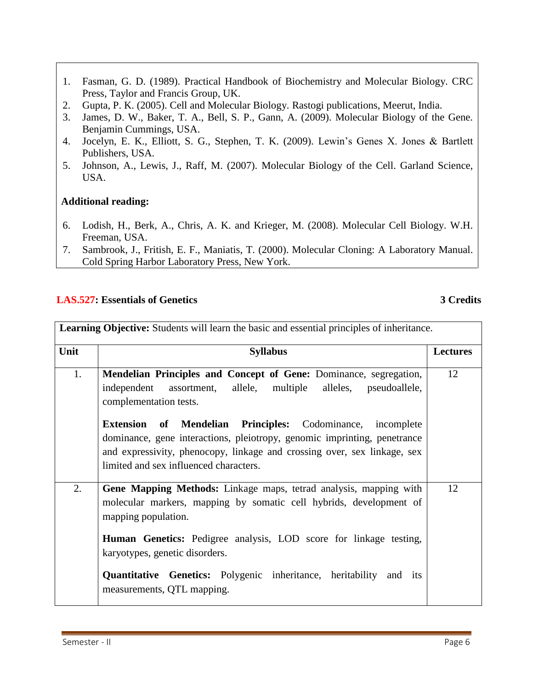- 1. Fasman, G. D. (1989). Practical Handbook of Biochemistry and Molecular Biology. CRC Press, Taylor and Francis Group, UK.
- 2. Gupta, P. K. (2005). Cell and Molecular Biology. Rastogi publications, Meerut, India.
- 3. James, D. W., Baker, T. A., Bell, S. P., Gann, A. (2009). Molecular Biology of the Gene. Benjamin Cummings, USA.
- 4. Jocelyn, E. K., Elliott, S. G., Stephen, T. K. (2009). Lewin's Genes X. Jones & Bartlett Publishers, USA.
- 5. Johnson, A., Lewis, J., Raff, M. (2007). Molecular Biology of the Cell. Garland Science, USA.

## **Additional reading:**

- 6. [Lodish,](http://www.amazon.com/Harvey-Lodish/e/B000APJECU/ref=sr_ntt_srch_lnk_1?qid=1311422122&sr=1-1) [H.](http://www.amazon.com/Harvey-Lodish/e/B000APJECU/ref=sr_ntt_srch_lnk_1?qid=1311422122&sr=1-1), Berk, A., Chris, A. K. and Krieger, M. (2008). Molecular Cell Biology. W.H. Freeman, USA.
- 7. Sambrook, J., Fritish, E. F., Maniatis, T. (2000). Molecular Cloning: A Laboratory Manual. Cold Spring Harbor Laboratory Press, New York.

## **LAS.527: Essentials of Genetics 3 Credits**

| <b>Learning Objective:</b> Students will learn the basic and essential principles of inheritance. |                                                                                                                                                                                                                                                                                                                                                                                                                                          |                 |
|---------------------------------------------------------------------------------------------------|------------------------------------------------------------------------------------------------------------------------------------------------------------------------------------------------------------------------------------------------------------------------------------------------------------------------------------------------------------------------------------------------------------------------------------------|-----------------|
| Unit                                                                                              | <b>Syllabus</b>                                                                                                                                                                                                                                                                                                                                                                                                                          | <b>Lectures</b> |
| 1.                                                                                                | Mendelian Principles and Concept of Gene: Dominance, segregation,<br>independent assortment, allele, multiple<br>alleles, pseudoallele,<br>complementation tests.<br><b>Extension of Mendelian Principles:</b> Codominance, incomplete<br>dominance, gene interactions, pleiotropy, genomic imprinting, penetrance<br>and expressivity, phenocopy, linkage and crossing over, sex linkage, sex<br>limited and sex influenced characters. | 12              |
| 2.                                                                                                | Gene Mapping Methods: Linkage maps, tetrad analysis, mapping with<br>molecular markers, mapping by somatic cell hybrids, development of<br>mapping population.<br><b>Human Genetics:</b> Pedigree analysis, LOD score for linkage testing,<br>karyotypes, genetic disorders.<br>Quantitative Genetics: Polygenic inheritance, heritability and its<br>measurements, QTL mapping.                                                         | 12              |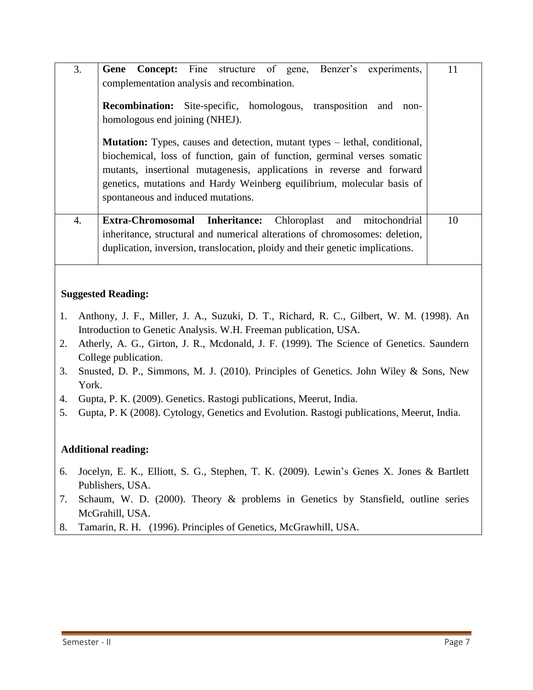| 3. | Gene Concept: Fine structure of gene, Benzer's experiments,<br>complementation analysis and recombination.<br><b>Recombination:</b> Site-specific, homologous, transposition and<br>non-<br>homologous end joining (NHEJ).<br><b>Mutation:</b> Types, causes and detection, mutant types – lethal, conditional,<br>biochemical, loss of function, gain of function, germinal verses somatic<br>mutants, insertional mutagenesis, applications in reverse and forward<br>genetics, mutations and Hardy Weinberg equilibrium, molecular basis of<br>spontaneous and induced mutations. | 11 |
|----|--------------------------------------------------------------------------------------------------------------------------------------------------------------------------------------------------------------------------------------------------------------------------------------------------------------------------------------------------------------------------------------------------------------------------------------------------------------------------------------------------------------------------------------------------------------------------------------|----|
| 4. | <b>Extra-Chromosomal Inheritance:</b><br>Chloroplast and mitochondrial<br>inheritance, structural and numerical alterations of chromosomes: deletion,<br>duplication, inversion, translocation, ploidy and their genetic implications.                                                                                                                                                                                                                                                                                                                                               | 10 |

## **Suggested Reading:**

- 1. Anthony, J. F., Miller, J. A., Suzuki, D. T., Richard, R. C., Gilbert, W. M. (1998). An Introduction to Genetic Analysis. W.H. Freeman publication, USA.
- 2. Atherly, A. G., Girton, J. R., Mcdonald, J. F. (1999). The Science of Genetics. Saundern College publication.
- 3. Snusted, D. P., Simmons, M. J. (2010). Principles of Genetics. John Wiley & Sons, New York.
- 4. Gupta, P. K. (2009). Genetics. Rastogi publications, Meerut, India.
- 5. Gupta, P. K (2008). Cytology, Genetics and Evolution. Rastogi publications, Meerut, India.

## **Additional reading:**

- 6. Jocelyn, E. K., Elliott, S. G., Stephen, T. K. (2009). Lewin's Genes X. Jones & Bartlett Publishers, USA.
- 7. Schaum, W. D. (2000). Theory & problems in Genetics by Stansfield, outline series McGrahill, USA.
- 8. Tamarin, R. H. (1996). Principles of Genetics, McGrawhill, USA.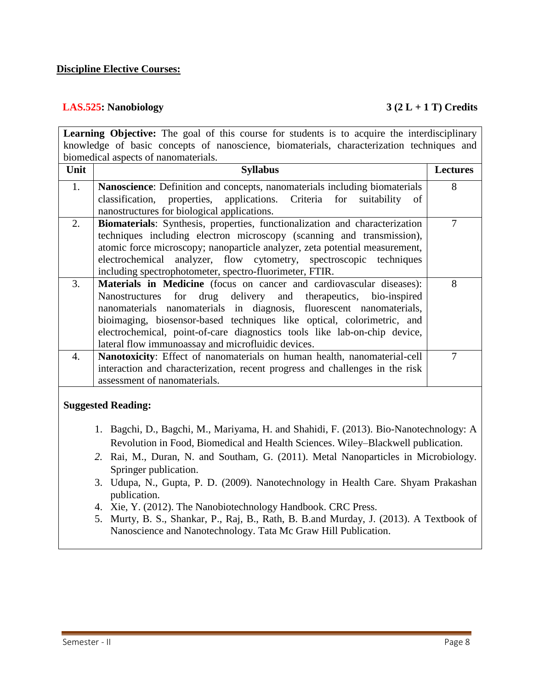## **Discipline Elective Courses:**

## **LAS.525: Nanobiology 3 (2 L + 1 T) Credits**

|                                                                                           | <b>Learning Objective:</b> The goal of this course for students is to acquire the interdisciplinary                                      |                 |  |
|-------------------------------------------------------------------------------------------|------------------------------------------------------------------------------------------------------------------------------------------|-----------------|--|
| knowledge of basic concepts of nanoscience, biomaterials, characterization techniques and |                                                                                                                                          |                 |  |
| biomedical aspects of nanomaterials.                                                      |                                                                                                                                          |                 |  |
| Unit                                                                                      | <b>Syllabus</b>                                                                                                                          | <b>Lectures</b> |  |
| 1.                                                                                        | Nanoscience: Definition and concepts, nanomaterials including biomaterials                                                               | 8               |  |
|                                                                                           | applications.<br>classification,<br>properties,<br>Criteria<br>for<br>suitability<br>- of<br>nanostructures for biological applications. |                 |  |
| 2.                                                                                        | Biomaterials: Synthesis, properties, functionalization and characterization                                                              | $\overline{7}$  |  |
|                                                                                           | techniques including electron microscopy (scanning and transmission),                                                                    |                 |  |
|                                                                                           | atomic force microscopy; nanoparticle analyzer, zeta potential measurement,                                                              |                 |  |
|                                                                                           | analyzer, flow cytometry, spectroscopic<br>electrochemical<br>techniques                                                                 |                 |  |
|                                                                                           | including spectrophotometer, spectro-fluorimeter, FTIR.                                                                                  |                 |  |
| 3.                                                                                        | Materials in Medicine (focus on cancer and cardiovascular diseases):                                                                     | 8               |  |
|                                                                                           | drug delivery<br>and therapeutics,<br>Nanostructures for<br>bio-inspired                                                                 |                 |  |
|                                                                                           | nanomaterials nanomaterials in diagnosis, fluorescent nanomaterials,                                                                     |                 |  |
|                                                                                           | bioimaging, biosensor-based techniques like optical, colorimetric, and                                                                   |                 |  |
|                                                                                           | electrochemical, point-of-care diagnostics tools like lab-on-chip device,                                                                |                 |  |
|                                                                                           | lateral flow immunoassay and microfluidic devices.                                                                                       |                 |  |
| 4.                                                                                        | Nanotoxicity: Effect of nanomaterials on human health, nanomaterial-cell                                                                 | $\overline{7}$  |  |
|                                                                                           | interaction and characterization, recent progress and challenges in the risk                                                             |                 |  |
|                                                                                           | assessment of nanomaterials.                                                                                                             |                 |  |
|                                                                                           | <b>Suggested Reading:</b>                                                                                                                |                 |  |
|                                                                                           | 1. Bagchi, D., Bagchi, M., Mariyama, H. and Shahidi, F. (2013). Bio-Nanotechnology: A                                                    |                 |  |
|                                                                                           | Revolution in Food, Biomedical and Health Sciences. Wiley–Blackwell publication.                                                         |                 |  |
|                                                                                           | 2. Rai, M., Duran, N. and Southam, G. (2011). Metal Nanoparticles in Microbiology.                                                       |                 |  |
|                                                                                           | Springer publication.                                                                                                                    |                 |  |
|                                                                                           | 3. Udupa, N., Gupta, P. D. (2009). Nanotechnology in Health Care. Shyam Prakashan<br>publication.                                        |                 |  |
|                                                                                           | 4. Xie, Y. (2012). The Nanobiotechnology Handbook. CRC Press.                                                                            |                 |  |
|                                                                                           | 5. Murty, B. S., Shankar, P., Raj, B., Rath, B. B.and Murday, J. (2013). A Textbook of                                                   |                 |  |
|                                                                                           | Nanoscience and Nanotechnology. Tata Mc Graw Hill Publication.                                                                           |                 |  |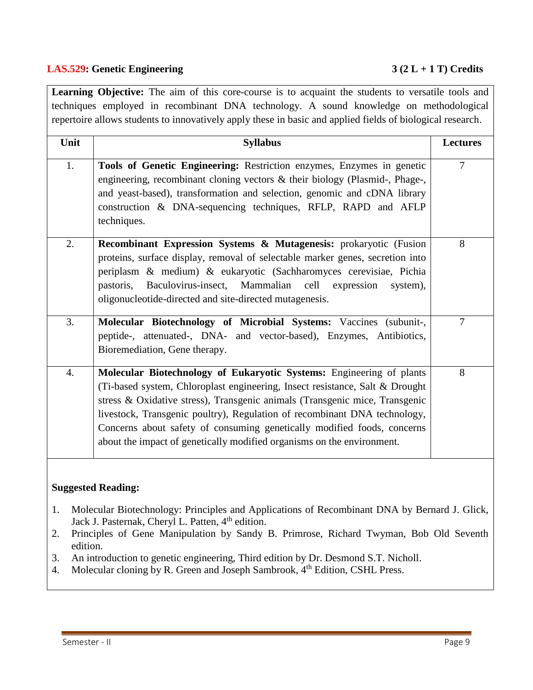## **LAS.529: Genetic Engineering 3 (2 L + 1 T) Credits**

Learning Objective: The aim of this core-course is to acquaint the students to versatile tools and techniques employed in recombinant DNA technology. A sound knowledge on methodological repertoire allows students to innovatively apply these in basic and applied fields of biological research.

| Unit             | <b>Syllabus</b>                                                                                                                                                                                                                                                                                                                                                                                                                                                       | <b>Lectures</b> |
|------------------|-----------------------------------------------------------------------------------------------------------------------------------------------------------------------------------------------------------------------------------------------------------------------------------------------------------------------------------------------------------------------------------------------------------------------------------------------------------------------|-----------------|
| 1.               | Tools of Genetic Engineering: Restriction enzymes, Enzymes in genetic<br>engineering, recombinant cloning vectors & their biology (Plasmid-, Phage-,<br>and yeast-based), transformation and selection, genomic and cDNA library<br>construction & DNA-sequencing techniques, RFLP, RAPD and AFLP<br>techniques.                                                                                                                                                      | $\overline{7}$  |
| 2.               | Recombinant Expression Systems & Mutagenesis: prokaryotic (Fusion<br>proteins, surface display, removal of selectable marker genes, secretion into<br>periplasm & medium) & eukaryotic (Sachharomyces cerevisiae, Pichia<br>Baculovirus-insect, Mammalian<br>cell<br>pastoris,<br>expression<br>system),<br>oligonucleotide-directed and site-directed mutagenesis.                                                                                                   | 8               |
| 3.               | Molecular Biotechnology of Microbial Systems: Vaccines (subunit-,<br>peptide-, attenuated-, DNA- and vector-based), Enzymes, Antibiotics,<br>Bioremediation, Gene therapy.                                                                                                                                                                                                                                                                                            | $\overline{7}$  |
| $\overline{4}$ . | Molecular Biotechnology of Eukaryotic Systems: Engineering of plants<br>(Ti-based system, Chloroplast engineering, Insect resistance, Salt & Drought<br>stress & Oxidative stress), Transgenic animals (Transgenic mice, Transgenic<br>livestock, Transgenic poultry), Regulation of recombinant DNA technology,<br>Concerns about safety of consuming genetically modified foods, concerns<br>about the impact of genetically modified organisms on the environment. | 8               |
|                  |                                                                                                                                                                                                                                                                                                                                                                                                                                                                       |                 |

- 1. Molecular Biotechnology: Principles and Applications of Recombinant DNA by Bernard J. Glick, Jack J. Pasternak, Cheryl L. Patten, 4<sup>th</sup> edition.
- 2. Principles of Gene Manipulation by Sandy B. Primrose, Richard Twyman, Bob Old Seventh edition.
- 3. An introduction to genetic engineering, Third edition by Dr. Desmond S.T. Nicholl.
- 4. Molecular cloning by R. Green and Joseph Sambrook, 4<sup>th</sup> Edition, CSHL Press.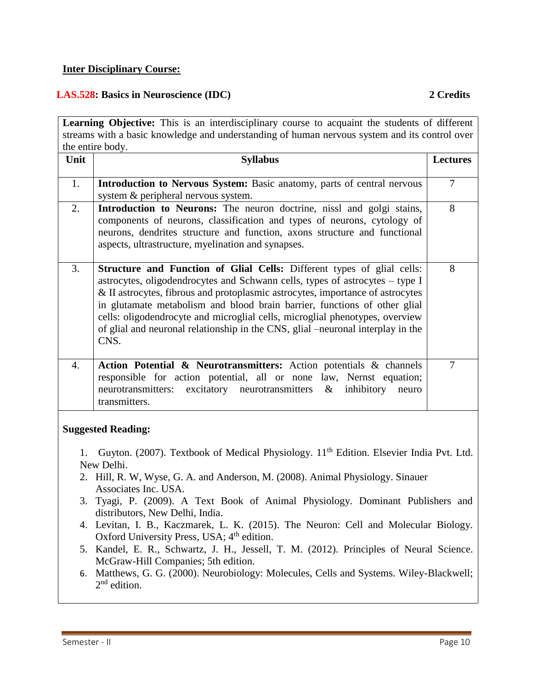## **Inter Disciplinary Course:**

## **LAS.528: Basics in Neuroscience (IDC) 2 Credits**

| Learning Objective: This is an interdisciplinary course to acquaint the students of different                                                       |                                                                                                                                                                                                                                                                                                                                                                                                                                                                                                  |                 |  |
|-----------------------------------------------------------------------------------------------------------------------------------------------------|--------------------------------------------------------------------------------------------------------------------------------------------------------------------------------------------------------------------------------------------------------------------------------------------------------------------------------------------------------------------------------------------------------------------------------------------------------------------------------------------------|-----------------|--|
| streams with a basic knowledge and understanding of human nervous system and its control over                                                       |                                                                                                                                                                                                                                                                                                                                                                                                                                                                                                  |                 |  |
|                                                                                                                                                     | the entire body.                                                                                                                                                                                                                                                                                                                                                                                                                                                                                 |                 |  |
| Unit                                                                                                                                                | <b>Syllabus</b>                                                                                                                                                                                                                                                                                                                                                                                                                                                                                  | <b>Lectures</b> |  |
| 1.                                                                                                                                                  | Introduction to Nervous System: Basic anatomy, parts of central nervous                                                                                                                                                                                                                                                                                                                                                                                                                          | $\overline{7}$  |  |
|                                                                                                                                                     | system & peripheral nervous system.                                                                                                                                                                                                                                                                                                                                                                                                                                                              |                 |  |
| 2.                                                                                                                                                  | Introduction to Neurons: The neuron doctrine, nissl and golgi stains,<br>components of neurons, classification and types of neurons, cytology of<br>neurons, dendrites structure and function, axons structure and functional<br>aspects, ultrastructure, myelination and synapses.                                                                                                                                                                                                              | 8               |  |
| 3.                                                                                                                                                  | Structure and Function of Glial Cells: Different types of glial cells:<br>astrocytes, oligodendrocytes and Schwann cells, types of astrocytes – type I<br>& II astrocytes, fibrous and protoplasmic astrocytes, importance of astrocytes<br>in glutamate metabolism and blood brain barrier, functions of other glial<br>cells: oligodendrocyte and microglial cells, microglial phenotypes, overview<br>of glial and neuronal relationship in the CNS, glial –neuronal interplay in the<br>CNS. | 8               |  |
| $\overline{4}$ .                                                                                                                                    | Action Potential & Neurotransmitters: Action potentials & channels<br>responsible for action potential, all or none law, Nernst equation;<br>excitatory neurotransmitters<br>inhibitory<br>neurotransmitters:<br>$\&$<br>neuro<br>transmitters.                                                                                                                                                                                                                                                  | $\overline{7}$  |  |
| <b>Suggested Reading:</b><br>Guyton. (2007). Textbook of Medical Physiology. 11 <sup>th</sup> Edition. Elsevier India Pvt. Ltd.<br>1.<br>New Delhi. |                                                                                                                                                                                                                                                                                                                                                                                                                                                                                                  |                 |  |
|                                                                                                                                                     | 2. Hill, R. W, Wyse, G. A. and Anderson, M. (2008). Animal Physiology. Sinauer<br>Associates Inc. USA.                                                                                                                                                                                                                                                                                                                                                                                           |                 |  |
| 3.                                                                                                                                                  | Tyagi, P. (2009). A Text Book of Animal Physiology. Dominant Publishers and<br>distributors, New Delhi, India.                                                                                                                                                                                                                                                                                                                                                                                   |                 |  |
|                                                                                                                                                     | 4. Levitan, I. B., Kaczmarek, L. K. (2015). The Neuron: Cell and Molecular Biology.<br>Oxford University Press, USA; 4 <sup>th</sup> edition.                                                                                                                                                                                                                                                                                                                                                    |                 |  |
|                                                                                                                                                     | 5. Kandel, E. R., Schwartz, J. H., Jessell, T. M. (2012). Principles of Neural Science.<br>McGraw-Hill Companies; 5th edition.                                                                                                                                                                                                                                                                                                                                                                   |                 |  |
| 6.                                                                                                                                                  | Matthews, G. G. (2000). Neurobiology: Molecules, Cells and Systems. Wiley-Blackwell;<br>$2nd$ edition.                                                                                                                                                                                                                                                                                                                                                                                           |                 |  |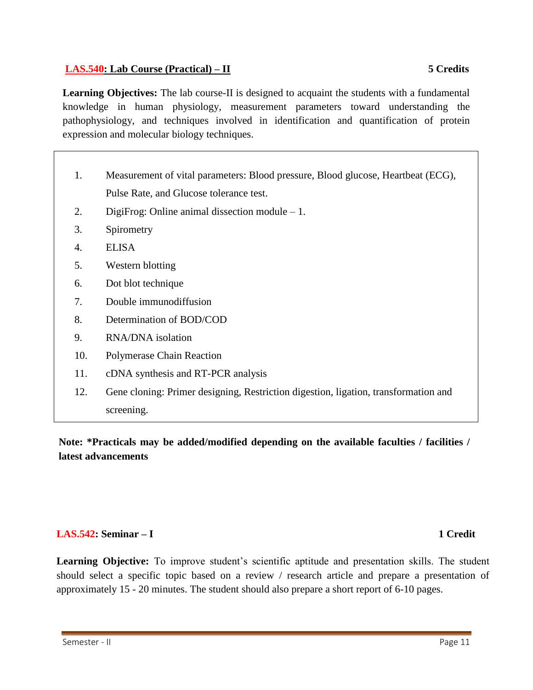## **LAS.540: Lab Course (Practical) – II 5 Credits**

**Learning Objectives:** The lab course-II is designed to acquaint the students with a fundamental knowledge in human physiology, measurement parameters toward understanding the pathophysiology, and techniques involved in identification and quantification of protein expression and molecular biology techniques.

- 1. Measurement of vital parameters: Blood pressure, Blood glucose, Heartbeat (ECG), Pulse Rate, and Glucose tolerance test.
- 2. DigiFrog: Online animal dissection module 1.
- 3. Spirometry
- 4. ELISA
- 5. Western blotting
- 6. Dot blot technique
- 7. Double immunodiffusion
- 8. Determination of BOD/COD
- 9. RNA/DNA isolation
- 10. Polymerase Chain Reaction
- 11. cDNA synthesis and RT-PCR analysis
- 12. Gene cloning: Primer designing, Restriction digestion, ligation, transformation and screening.

**Note: \*Practicals may be added/modified depending on the available faculties / facilities / latest advancements**

## **LAS.542: Seminar – I 1 Credit**

Learning Objective: To improve student's scientific aptitude and presentation skills. The student should select a specific topic based on a review / research article and prepare a presentation of approximately 15 - 20 minutes. The student should also prepare a short report of 6-10 pages.